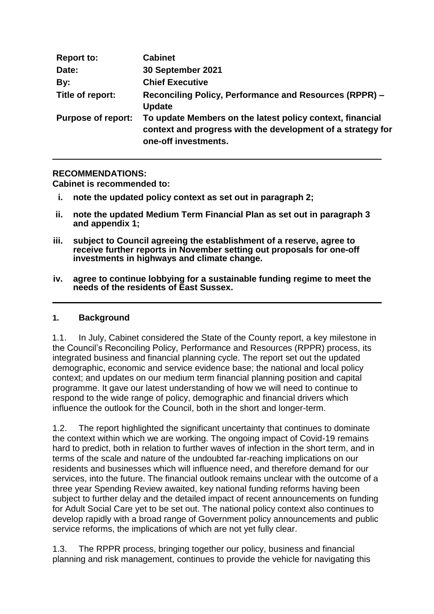| <b>Report to:</b>         | <b>Cabinet</b>                                                                                                                                   |
|---------------------------|--------------------------------------------------------------------------------------------------------------------------------------------------|
| Date:                     | 30 September 2021                                                                                                                                |
| By:                       | <b>Chief Executive</b>                                                                                                                           |
| Title of report:          | Reconciling Policy, Performance and Resources (RPPR) -<br><b>Update</b>                                                                          |
| <b>Purpose of report:</b> | To update Members on the latest policy context, financial<br>context and progress with the development of a strategy for<br>one-off investments. |

#### **RECOMMENDATIONS:**

**Cabinet is recommended to:**

- **i. note the updated policy context as set out in paragraph 2;**
- **ii. note the updated Medium Term Financial Plan as set out in paragraph 3 and appendix 1;**
- **iii. subject to Council agreeing the establishment of a reserve, agree to receive further reports in November setting out proposals for one-off investments in highways and climate change.**
- **iv. agree to continue lobbying for a sustainable funding regime to meet the needs of the residents of East Sussex.**

#### **1. Background**

1.1. In July, Cabinet considered the State of the County report, a key milestone in the Council's Reconciling Policy, Performance and Resources (RPPR) process, its integrated business and financial planning cycle. The report set out the updated demographic, economic and service evidence base; the national and local policy context; and updates on our medium term financial planning position and capital programme. It gave our latest understanding of how we will need to continue to respond to the wide range of policy, demographic and financial drivers which influence the outlook for the Council, both in the short and longer-term.

1.2. The report highlighted the significant uncertainty that continues to dominate the context within which we are working. The ongoing impact of Covid-19 remains hard to predict, both in relation to further waves of infection in the short term, and in terms of the scale and nature of the undoubted far-reaching implications on our residents and businesses which will influence need, and therefore demand for our services, into the future. The financial outlook remains unclear with the outcome of a three year Spending Review awaited, key national funding reforms having been subject to further delay and the detailed impact of recent announcements on funding for Adult Social Care yet to be set out. The national policy context also continues to develop rapidly with a broad range of Government policy announcements and public service reforms, the implications of which are not yet fully clear.

1.3. The RPPR process, bringing together our policy, business and financial planning and risk management, continues to provide the vehicle for navigating this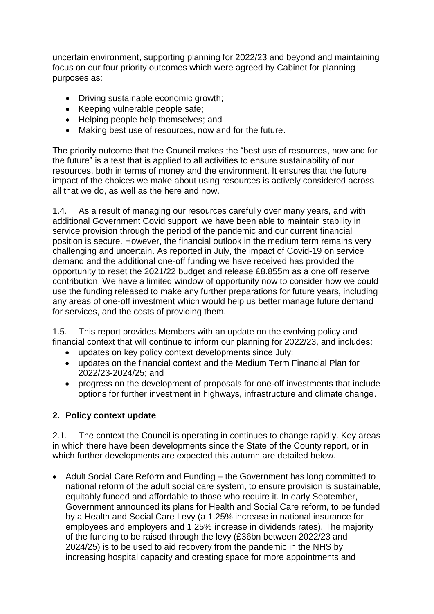uncertain environment, supporting planning for 2022/23 and beyond and maintaining focus on our four priority outcomes which were agreed by Cabinet for planning purposes as:

- Driving sustainable economic growth;
- Keeping vulnerable people safe;
- Helping people help themselves: and
- Making best use of resources, now and for the future.

The priority outcome that the Council makes the "best use of resources, now and for the future" is a test that is applied to all activities to ensure sustainability of our resources, both in terms of money and the environment. It ensures that the future impact of the choices we make about using resources is actively considered across all that we do, as well as the here and now.

1.4. As a result of managing our resources carefully over many years, and with additional Government Covid support, we have been able to maintain stability in service provision through the period of the pandemic and our current financial position is secure. However, the financial outlook in the medium term remains very challenging and uncertain. As reported in July, the impact of Covid-19 on service demand and the additional one-off funding we have received has provided the opportunity to reset the 2021/22 budget and release £8.855m as a one off reserve contribution. We have a limited window of opportunity now to consider how we could use the funding released to make any further preparations for future years, including any areas of one-off investment which would help us better manage future demand for services, and the costs of providing them.

1.5. This report provides Members with an update on the evolving policy and financial context that will continue to inform our planning for 2022/23, and includes:

- updates on key policy context developments since July;
- updates on the financial context and the Medium Term Financial Plan for 2022/23-2024/25; and
- progress on the development of proposals for one-off investments that include options for further investment in highways, infrastructure and climate change.

#### **2. Policy context update**

2.1. The context the Council is operating in continues to change rapidly. Key areas in which there have been developments since the State of the County report, or in which further developments are expected this autumn are detailed below.

 Adult Social Care Reform and Funding – the Government has long committed to national reform of the adult social care system, to ensure provision is sustainable, equitably funded and affordable to those who require it. In early September, Government announced its plans for Health and Social Care reform, to be funded by a Health and Social Care Levy (a 1.25% increase in national insurance for employees and employers and 1.25% increase in dividends rates). The majority of the funding to be raised through the levy (£36bn between 2022/23 and 2024/25) is to be used to aid recovery from the pandemic in the NHS by increasing hospital capacity and creating space for more appointments and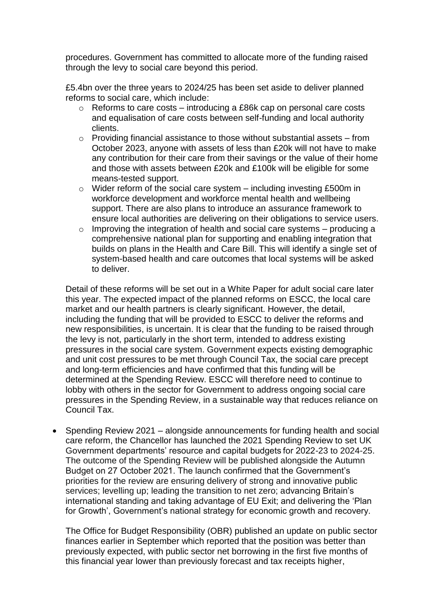procedures. Government has committed to allocate more of the funding raised through the levy to social care beyond this period.

£5.4bn over the three years to 2024/25 has been set aside to deliver planned reforms to social care, which include:

- o Reforms to care costs introducing a £86k cap on personal care costs and equalisation of care costs between self-funding and local authority clients.
- o Providing financial assistance to those without substantial assets from October 2023, anyone with assets of less than £20k will not have to make any contribution for their care from their savings or the value of their home and those with assets between £20k and £100k will be eligible for some means-tested support.
- $\circ$  Wider reform of the social care system including investing £500m in workforce development and workforce mental health and wellbeing support. There are also plans to introduce an assurance framework to ensure local authorities are delivering on their obligations to service users.
- o Improving the integration of health and social care systems producing a comprehensive national plan for supporting and enabling integration that builds on plans in the Health and Care Bill. This will identify a single set of system-based health and care outcomes that local systems will be asked to deliver.

Detail of these reforms will be set out in a White Paper for adult social care later this year. The expected impact of the planned reforms on ESCC, the local care market and our health partners is clearly significant. However, the detail, including the funding that will be provided to ESCC to deliver the reforms and new responsibilities, is uncertain. It is clear that the funding to be raised through the levy is not, particularly in the short term, intended to address existing pressures in the social care system. Government expects existing demographic and unit cost pressures to be met through Council Tax, the social care precept and long-term efficiencies and have confirmed that this funding will be determined at the Spending Review. ESCC will therefore need to continue to lobby with others in the sector for Government to address ongoing social care pressures in the Spending Review, in a sustainable way that reduces reliance on Council Tax.

 Spending Review 2021 – alongside announcements for funding health and social care reform, the Chancellor has launched the 2021 Spending Review to set UK Government departments' resource and capital budgets for 2022-23 to 2024-25. The outcome of the Spending Review will be published alongside the Autumn Budget on 27 October 2021. The launch confirmed that the Government's priorities for the review are ensuring delivery of strong and innovative public services; levelling up; leading the transition to net zero; advancing Britain's international standing and taking advantage of EU Exit; and delivering the 'Plan for Growth', Government's national strategy for economic growth and recovery.

The Office for Budget Responsibility (OBR) published an update on public sector finances earlier in September which reported that the position was better than previously expected, with public sector net borrowing in the first five months of this financial year lower than previously forecast and tax receipts higher,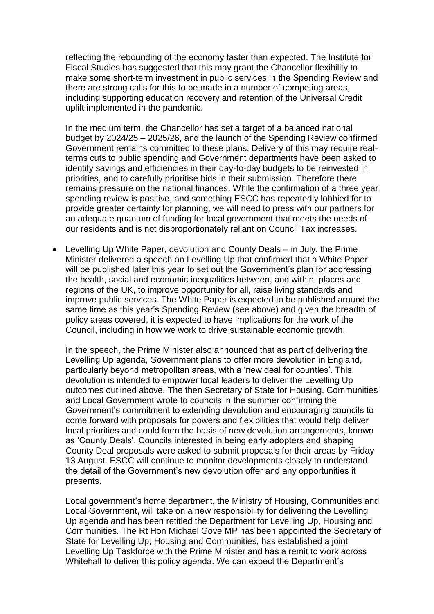reflecting the rebounding of the economy faster than expected. The Institute for Fiscal Studies has suggested that this may grant the Chancellor flexibility to make some short-term investment in public services in the Spending Review and there are strong calls for this to be made in a number of competing areas, including supporting education recovery and retention of the Universal Credit uplift implemented in the pandemic.

In the medium term, the Chancellor has set a target of a balanced national budget by 2024/25 – 2025/26, and the launch of the Spending Review confirmed Government remains committed to these plans. Delivery of this may require realterms cuts to public spending and Government departments have been asked to identify savings and efficiencies in their day-to-day budgets to be reinvested in priorities, and to carefully prioritise bids in their submission. Therefore there remains pressure on the national finances. While the confirmation of a three year spending review is positive, and something ESCC has repeatedly lobbied for to provide greater certainty for planning, we will need to press with our partners for an adequate quantum of funding for local government that meets the needs of our residents and is not disproportionately reliant on Council Tax increases.

 Levelling Up White Paper, devolution and County Deals – in July, the Prime Minister delivered a speech on Levelling Up that confirmed that a White Paper will be published later this year to set out the Government's plan for addressing the health, social and economic inequalities between, and within, places and regions of the UK, to improve opportunity for all, raise living standards and improve public services. The White Paper is expected to be published around the same time as this year's Spending Review (see above) and given the breadth of policy areas covered, it is expected to have implications for the work of the Council, including in how we work to drive sustainable economic growth.

In the speech, the Prime Minister also announced that as part of delivering the Levelling Up agenda, Government plans to offer more devolution in England, particularly beyond metropolitan areas, with a 'new deal for counties'. This devolution is intended to empower local leaders to deliver the Levelling Up outcomes outlined above. The then Secretary of State for Housing, Communities and Local Government wrote to councils in the summer confirming the Government's commitment to extending devolution and encouraging councils to come forward with proposals for powers and flexibilities that would help deliver local priorities and could form the basis of new devolution arrangements, known as 'County Deals'. Councils interested in being early adopters and shaping County Deal proposals were asked to submit proposals for their areas by Friday 13 August. ESCC will continue to monitor developments closely to understand the detail of the Government's new devolution offer and any opportunities it presents.

Local government's home department, the Ministry of Housing, Communities and Local Government, will take on a new responsibility for delivering the Levelling Up agenda and has been retitled the Department for Levelling Up, Housing and Communities. The Rt Hon Michael Gove MP has been appointed the Secretary of State for Levelling Up, Housing and Communities, has established a joint Levelling Up Taskforce with the Prime Minister and has a remit to work across Whitehall to deliver this policy agenda. We can expect the Department's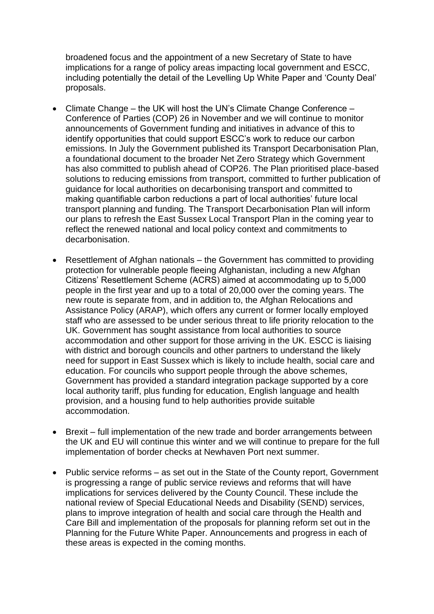broadened focus and the appointment of a new Secretary of State to have implications for a range of policy areas impacting local government and ESCC, including potentially the detail of the Levelling Up White Paper and 'County Deal' proposals.

- Climate Change the UK will host the UN's Climate Change Conference Conference of Parties (COP) 26 in November and we will continue to monitor announcements of Government funding and initiatives in advance of this to identify opportunities that could support ESCC's work to reduce our carbon emissions. In July the Government published its Transport Decarbonisation Plan, a foundational document to the broader Net Zero Strategy which Government has also committed to publish ahead of COP26. The Plan prioritised place-based solutions to reducing emissions from transport, committed to further publication of guidance for local authorities on decarbonising transport and committed to making quantifiable carbon reductions a part of local authorities' future local transport planning and funding. The Transport Decarbonisation Plan will inform our plans to refresh the East Sussex Local Transport Plan in the coming year to reflect the renewed national and local policy context and commitments to decarbonisation.
- Resettlement of Afghan nationals the Government has committed to providing protection for vulnerable people fleeing Afghanistan, including a new Afghan Citizens' Resettlement Scheme (ACRS) aimed at accommodating up to 5,000 people in the first year and up to a total of 20,000 over the coming years. The new route is separate from, and in addition to, the Afghan Relocations and Assistance Policy (ARAP), which offers any current or former locally employed staff who are assessed to be under serious threat to life priority relocation to the UK. Government has sought assistance from local authorities to source accommodation and other support for those arriving in the UK. ESCC is liaising with district and borough councils and other partners to understand the likely need for support in East Sussex which is likely to include health, social care and education. For councils who support people through the above schemes, Government has provided a standard integration package supported by a core local authority tariff, plus funding for education, English language and health provision, and a housing fund to help authorities provide suitable accommodation.
- Brexit full implementation of the new trade and border arrangements between the UK and EU will continue this winter and we will continue to prepare for the full implementation of border checks at Newhaven Port next summer.
- Public service reforms as set out in the State of the County report, Government is progressing a range of public service reviews and reforms that will have implications for services delivered by the County Council. These include the national review of Special Educational Needs and Disability (SEND) services, plans to improve integration of health and social care through the Health and Care Bill and implementation of the proposals for planning reform set out in the Planning for the Future White Paper. Announcements and progress in each of these areas is expected in the coming months.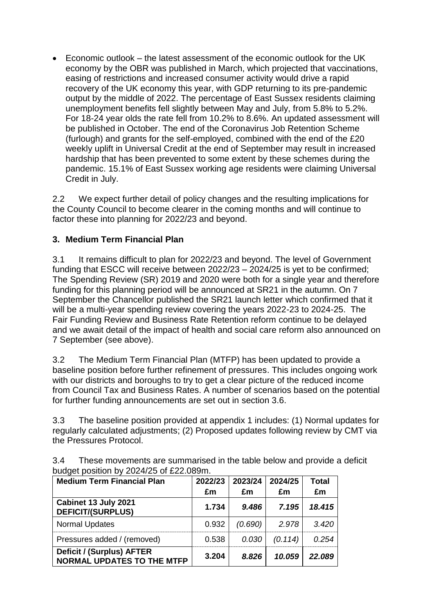Economic outlook – the latest assessment of the economic outlook for the UK economy by the OBR was published in March, which projected that vaccinations, easing of restrictions and increased consumer activity would drive a rapid recovery of the UK economy this year, with GDP returning to its pre-pandemic output by the middle of 2022. The percentage of East Sussex residents claiming unemployment benefits fell slightly between May and July, from 5.8% to 5.2%. For 18-24 year olds the rate fell from 10.2% to 8.6%. An updated assessment will be published in October. The end of the Coronavirus Job Retention Scheme (furlough) and grants for the self-employed, combined with the end of the £20 weekly uplift in Universal Credit at the end of September may result in increased hardship that has been prevented to some extent by these schemes during the pandemic. 15.1% of East Sussex working age residents were claiming Universal Credit in July.

2.2 We expect further detail of policy changes and the resulting implications for the County Council to become clearer in the coming months and will continue to factor these into planning for 2022/23 and beyond.

### **3. Medium Term Financial Plan**

3.1 It remains difficult to plan for 2022/23 and beyond. The level of Government funding that ESCC will receive between 2022/23 – 2024/25 is yet to be confirmed; The Spending Review (SR) 2019 and 2020 were both for a single year and therefore funding for this planning period will be announced at SR21 in the autumn. On 7 September the Chancellor published the SR21 launch letter which confirmed that it will be a multi-year spending review covering the years 2022-23 to 2024-25. The Fair Funding Review and Business Rate Retention reform continue to be delayed and we await detail of the impact of health and social care reform also announced on 7 September (see above).

3.2 The Medium Term Financial Plan (MTFP) has been updated to provide a baseline position before further refinement of pressures. This includes ongoing work with our districts and boroughs to try to get a clear picture of the reduced income from Council Tax and Business Rates. A number of scenarios based on the potential for further funding announcements are set out in section 3.6.

3.3 The baseline position provided at appendix 1 includes: (1) Normal updates for regularly calculated adjustments; (2) Proposed updates following review by CMT via the Pressures Protocol.

| <b>Medium Term Financial Plan</b>                              | 2022/23 | 2023/24 | 2024/25 | Total  |
|----------------------------------------------------------------|---------|---------|---------|--------|
|                                                                | £m      | £m      | £m      | £m     |
| Cabinet 13 July 2021<br><b>DEFICIT/(SURPLUS)</b>               | 1.734   | 9.486   | 7.195   | 18.415 |
| <b>Normal Updates</b>                                          | 0.932   | (0.690) | 2.978   | 3.420  |
| Pressures added / (removed)                                    | 0.538   | 0.030   | (0.114) | 0.254  |
| Deficit / (Surplus) AFTER<br><b>NORMAL UPDATES TO THE MTFP</b> | 3.204   | 8.826   | 10.059  | 22.089 |

3.4 These movements are summarised in the table below and provide a deficit budget position by 2024/25 of £22.089m.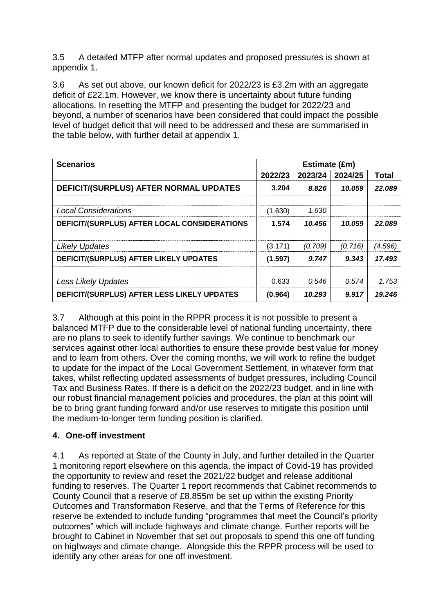3.5 A detailed MTFP after normal updates and proposed pressures is shown at appendix 1.

3.6 As set out above, our known deficit for 2022/23 is £3.2m with an aggregate deficit of £22.1m. However, we know there is uncertainty about future funding allocations. In resetting the MTFP and presenting the budget for 2022/23 and beyond, a number of scenarios have been considered that could impact the possible level of budget deficit that will need to be addressed and these are summarised in the table below, with further detail at appendix 1.

| <b>Scenarios</b>                             | Estimate (£m) |         |         |              |  |
|----------------------------------------------|---------------|---------|---------|--------------|--|
|                                              | 2022/23       | 2023/24 | 2024/25 | <b>Total</b> |  |
| DEFICIT/(SURPLUS) AFTER NORMAL UPDATES       | 3.204         | 8.826   | 10.059  | 22.089       |  |
| <b>Local Considerations</b>                  | (1.630)       | 1.630   |         |              |  |
| DEFICIT/(SURPLUS) AFTER LOCAL CONSIDERATIONS | 1.574         | 10.456  | 10.059  | 22.089       |  |
| <b>Likely Updates</b>                        | (3.171)       | (0.709) | (0.716) | (4.596)      |  |
| DEFICIT/(SURPLUS) AFTER LIKELY UPDATES       | (1.597)       | 9.747   | 9.343   | 17.493       |  |
|                                              |               |         |         |              |  |
| <b>Less Likely Updates</b>                   | 0.633         | 0.546   | 0.574   | 1.753        |  |
| DEFICIT/(SURPLUS) AFTER LESS LIKELY UPDATES  | (0.964)       | 10.293  | 9.917   | 19.246       |  |

3.7 Although at this point in the RPPR process it is not possible to present a balanced MTFP due to the considerable level of national funding uncertainty, there are no plans to seek to identify further savings. We continue to benchmark our services against other local authorities to ensure these provide best value for money and to learn from others. Over the coming months, we will work to refine the budget to update for the impact of the Local Government Settlement, in whatever form that takes, whilst reflecting updated assessments of budget pressures, including Council Tax and Business Rates. If there is a deficit on the 2022/23 budget, and in line with our robust financial management policies and procedures, the plan at this point will be to bring grant funding forward and/or use reserves to mitigate this position until the medium-to-longer term funding position is clarified.

# **4. One-off investment**

4.1 As reported at State of the County in July, and further detailed in the Quarter 1 monitoring report elsewhere on this agenda, the impact of Covid-19 has provided the opportunity to review and reset the 2021/22 budget and release additional funding to reserves. The Quarter 1 report recommends that Cabinet recommends to County Council that a reserve of £8.855m be set up within the existing Priority Outcomes and Transformation Reserve, and that the Terms of Reference for this reserve be extended to include funding "programmes that meet the Council's priority outcomes" which will include highways and climate change. Further reports will be brought to Cabinet in November that set out proposals to spend this one off funding on highways and climate change. Alongside this the RPPR process will be used to identify any other areas for one off investment.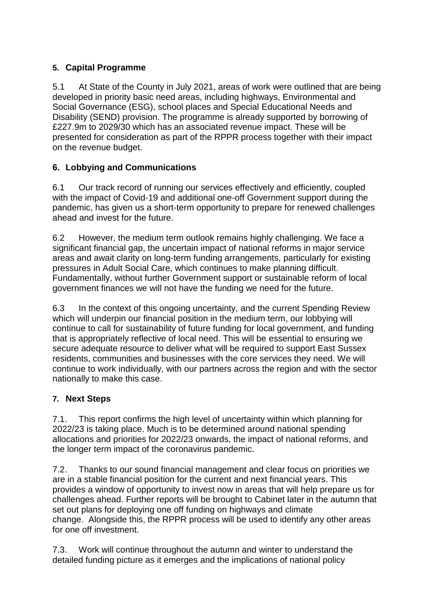## **5. Capital Programme**

5.1 At State of the County in July 2021, areas of work were outlined that are being developed in priority basic need areas, including highways, Environmental and Social Governance (ESG), school places and Special Educational Needs and Disability (SEND) provision. The programme is already supported by borrowing of £227.9m to 2029/30 which has an associated revenue impact. These will be presented for consideration as part of the RPPR process together with their impact on the revenue budget.

### **6. Lobbying and Communications**

6.1 Our track record of running our services effectively and efficiently, coupled with the impact of Covid-19 and additional one-off Government support during the pandemic, has given us a short-term opportunity to prepare for renewed challenges ahead and invest for the future.

6.2 However, the medium term outlook remains highly challenging. We face a significant financial gap, the uncertain impact of national reforms in major service areas and await clarity on long-term funding arrangements, particularly for existing pressures in Adult Social Care, which continues to make planning difficult. Fundamentally, without further Government support or sustainable reform of local government finances we will not have the funding we need for the future.

6.3 In the context of this ongoing uncertainty, and the current Spending Review which will underpin our financial position in the medium term, our lobbying will continue to call for sustainability of future funding for local government, and funding that is appropriately reflective of local need. This will be essential to ensuring we secure adequate resource to deliver what will be required to support East Sussex residents, communities and businesses with the core services they need. We will continue to work individually, with our partners across the region and with the sector nationally to make this case.

# **7. Next Steps**

7.1. This report confirms the high level of uncertainty within which planning for 2022/23 is taking place. Much is to be determined around national spending allocations and priorities for 2022/23 onwards, the impact of national reforms, and the longer term impact of the coronavirus pandemic.

7.2. Thanks to our sound financial management and clear focus on priorities we are in a stable financial position for the current and next financial years. This provides a window of opportunity to invest now in areas that will help prepare us for challenges ahead. Further reports will be brought to Cabinet later in the autumn that set out plans for deploying one off funding on highways and climate change. Alongside this, the RPPR process will be used to identify any other areas for one off investment.

7.3. Work will continue throughout the autumn and winter to understand the detailed funding picture as it emerges and the implications of national policy